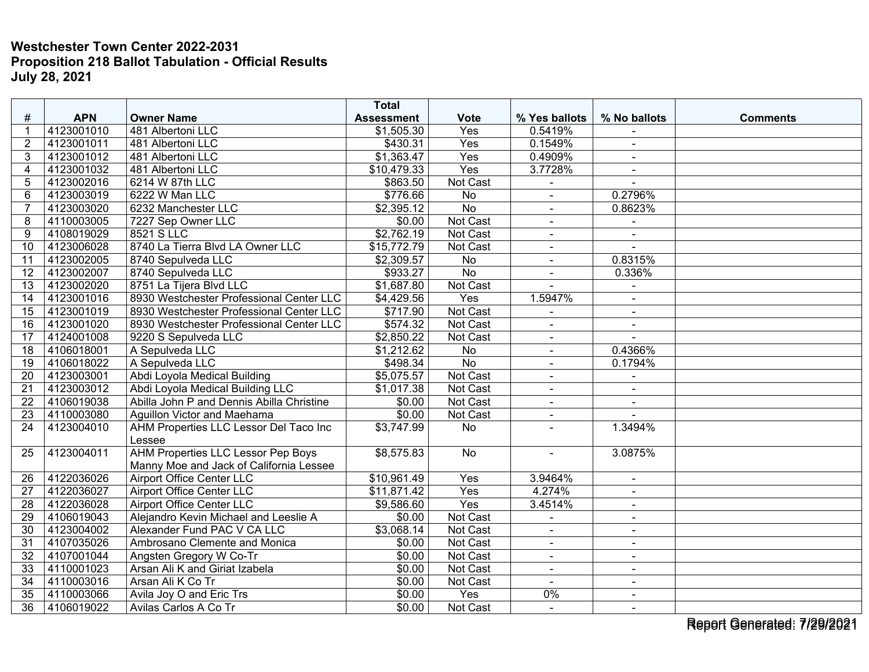|                 |            |                                           | <b>Total</b>      |                 |                          |                |                 |
|-----------------|------------|-------------------------------------------|-------------------|-----------------|--------------------------|----------------|-----------------|
| #               | <b>APN</b> | <b>Owner Name</b>                         | <b>Assessment</b> | <b>Vote</b>     | % Yes ballots            | % No ballots   | <b>Comments</b> |
| 1               | 4123001010 | 481 Albertoni LLC                         | \$1,505.30        | Yes             | 0.5419%                  |                |                 |
| $\overline{2}$  | 4123001011 | 481 Albertoni LLC                         | \$430.31          | Yes             | 0.1549%                  | $\blacksquare$ |                 |
| 3               | 4123001012 | 481 Albertoni LLC                         | \$1,363.47        | Yes             | 0.4909%                  | $\blacksquare$ |                 |
| $\overline{4}$  | 4123001032 | 481 Albertoni LLC                         | \$10,479.33       | Yes             | 3.7728%                  |                |                 |
| 5               | 4123002016 | 6214 W 87th LLC                           | \$863.50          | Not Cast        | $\blacksquare$           | $\sim$         |                 |
| 6               | 4123003019 | 6222 W Man LLC                            | \$776.66          | $\overline{No}$ |                          | 0.2796%        |                 |
| $\overline{7}$  | 4123003020 | 6232 Manchester LLC                       | \$2,395.12        | $\overline{No}$ | $\blacksquare$           | 0.8623%        |                 |
| 8               | 4110003005 | 7227 Sep Owner LLC                        | \$0.00            | Not Cast        | $\mathbf{r}$             |                |                 |
| 9               | 4108019029 | 8521 S LLC                                | \$2,762.19        | Not Cast        | $\blacksquare$           | $\blacksquare$ |                 |
| 10              | 4123006028 | 8740 La Tierra Blvd LA Owner LLC          | \$15,772.79       | Not Cast        | $\blacksquare$           |                |                 |
| 11              | 4123002005 | 8740 Sepulveda LLC                        | \$2,309.57        | No              | $\overline{\phantom{a}}$ | 0.8315%        |                 |
| $\overline{12}$ | 4123002007 | 8740 Sepulveda LLC                        | \$933.27          | $\overline{No}$ | $\blacksquare$           | 0.336%         |                 |
| 13              | 4123002020 | 8751 La Tijera Blvd LLC                   | \$1,687.80        | Not Cast        |                          | $\blacksquare$ |                 |
| 14              | 4123001016 | 8930 Westchester Professional Center LLC  | \$4,429.56        | Yes             | 1.5947%                  |                |                 |
| 15              | 4123001019 | 8930 Westchester Professional Center LLC  | \$717.90          | Not Cast        | $\overline{a}$           | $\sim$         |                 |
| 16              | 4123001020 | 8930 Westchester Professional Center LLC  | \$574.32          | Not Cast        | $\blacksquare$           | $\sim$         |                 |
| 17              | 4124001008 | 9220 S Sepulveda LLC                      | \$2,850.22        | <b>Not Cast</b> | $\blacksquare$           | $\overline{a}$ |                 |
| 18              | 4106018001 | A Sepulveda LLC                           | \$1,212.62        | No              | $\blacksquare$           | 0.4366%        |                 |
| 19              | 4106018022 | A Sepulveda LLC                           | $\sqrt{$498.34}$  | $\overline{No}$ | $\sim$                   | 0.1794%        |                 |
| 20              | 4123003001 | Abdi Loyola Medical Building              | \$5,075.57        | <b>Not Cast</b> | $\sim$                   | $\sim$         |                 |
| 21              | 4123003012 | Abdi Loyola Medical Building LLC          | \$1,017.38        | Not Cast        | $\blacksquare$           | $\blacksquare$ |                 |
| 22              | 4106019038 | Abilla John P and Dennis Abilla Christine | \$0.00            | Not Cast        |                          |                |                 |
| 23              | 4110003080 | Aguillon Victor and Maehama               | \$0.00            | Not Cast        | $\sim$                   | $\sim$         |                 |
| 24              | 4123004010 | AHM Properties LLC Lessor Del Taco Inc    | \$3,747.99        | $\overline{No}$ |                          | 1.3494%        |                 |
|                 |            | Lessee                                    |                   |                 |                          |                |                 |
| 25              | 4123004011 | <b>AHM Properties LLC Lessor Pep Boys</b> | \$8,575.83        | No              | $\overline{a}$           | 3.0875%        |                 |
|                 |            | Manny Moe and Jack of California Lessee   |                   |                 |                          |                |                 |
| 26              | 4122036026 | <b>Airport Office Center LLC</b>          | \$10,961.49       | Yes             | 3.9464%                  | $\blacksquare$ |                 |
| 27              | 4122036027 | <b>Airport Office Center LLC</b>          | \$11,871.42       | Yes             | 4.274%                   | $\sim$         |                 |
| 28              | 4122036028 | <b>Airport Office Center LLC</b>          | \$9,586.60        | Yes             | 3.4514%                  | $\blacksquare$ |                 |
| $\overline{29}$ | 4106019043 | Alejandro Kevin Michael and Leeslie A     | \$0.00            | Not Cast        | $\blacksquare$           | $\blacksquare$ |                 |
| 30              | 4123004002 | Alexander Fund PAC V CA LLC               | \$3,068.14        | Not Cast        |                          | $\sim$         |                 |
| 31              | 4107035026 | Ambrosano Clemente and Monica             | \$0.00            | Not Cast        | $\sim$                   | $\blacksquare$ |                 |
| $\overline{32}$ | 4107001044 | Angsten Gregory W Co-Tr                   | \$0.00            | Not Cast        | $\sim$                   | $\blacksquare$ |                 |
| 33              | 4110001023 | Arsan Ali K and Giriat Izabela            | \$0.00            | Not Cast        |                          | $\sim$         |                 |
| 34              | 4110003016 | Arsan Ali K Co Tr                         | \$0.00            | Not Cast        | $\sim$                   | $\sim$         |                 |
| $\overline{35}$ | 4110003066 | Avila Joy O and Eric Trs                  | \$0.00            | Yes             | 0%                       | $\blacksquare$ |                 |
| 36              | 4106019022 | Avilas Carlos A Co Tr                     | \$0.00            | Not Cast        | $\sim$                   | $\blacksquare$ |                 |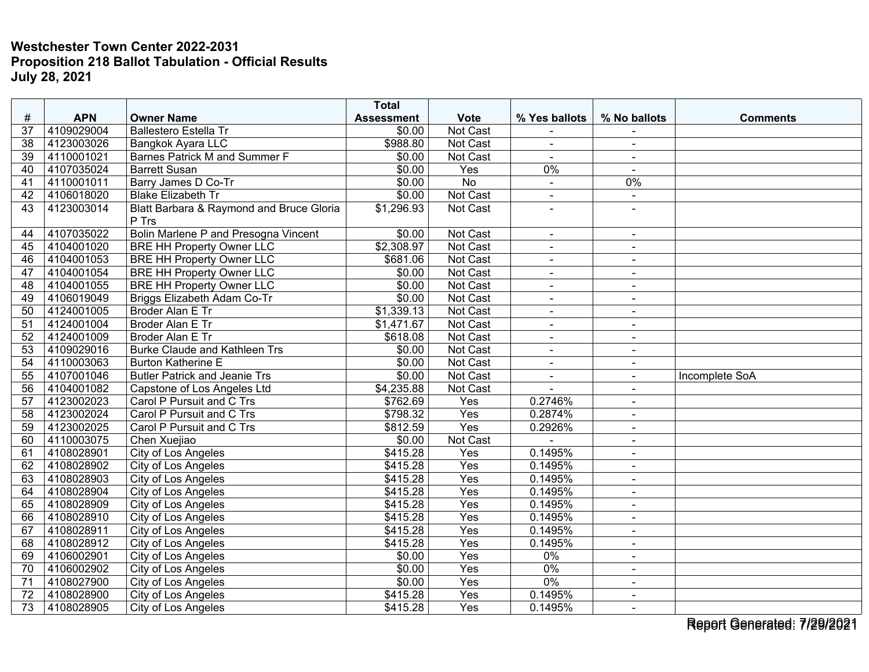|                 |            |                                                   | <b>Total</b>      |                 |                          |                |                 |
|-----------------|------------|---------------------------------------------------|-------------------|-----------------|--------------------------|----------------|-----------------|
| #               | <b>APN</b> | <b>Owner Name</b>                                 | <b>Assessment</b> | <b>Vote</b>     | % Yes ballots            | % No ballots   | <b>Comments</b> |
| 37              | 4109029004 | <b>Ballestero Estella Tr</b>                      | \$0.00            | Not Cast        |                          |                |                 |
| $\overline{38}$ | 4123003026 | Bangkok Ayara LLC                                 | \$988.80          | Not Cast        | $\blacksquare$           | $\blacksquare$ |                 |
| 39              | 4110001021 | <b>Barnes Patrick M and Summer F</b>              | \$0.00            | Not Cast        | $\blacksquare$           | $\sim$         |                 |
| 40              | 4107035024 | <b>Barrett Susan</b>                              | \$0.00            | Yes             | 0%                       |                |                 |
| 41              | 4110001011 | Barry James D Co-Tr                               | \$0.00            | <b>No</b>       | $\sim$                   | 0%             |                 |
| 42              | 4106018020 | <b>Blake Elizabeth Tr</b>                         | \$0.00            | Not Cast        | $\overline{\phantom{a}}$ | $\sim$         |                 |
| 43              | 4123003014 | Blatt Barbara & Raymond and Bruce Gloria<br>P Trs | \$1,296.93        | Not Cast        |                          |                |                 |
| 44              | 4107035022 | Bolin Marlene P and Presogna Vincent              | \$0.00            | Not Cast        | $\sim$                   | $\blacksquare$ |                 |
| 45              | 4104001020 | <b>BRE HH Property Owner LLC</b>                  | \$2,308.97        | Not Cast        | $\blacksquare$           | $\blacksquare$ |                 |
| 46              | 4104001053 | <b>BRE HH Property Owner LLC</b>                  | \$681.06          | Not Cast        | $\blacksquare$           | $\blacksquare$ |                 |
| 47              | 4104001054 | <b>BRE HH Property Owner LLC</b>                  | \$0.00            | Not Cast        | $\blacksquare$           | $\blacksquare$ |                 |
| 48              | 4104001055 | <b>BRE HH Property Owner LLC</b>                  | \$0.00            | <b>Not Cast</b> | $\blacksquare$           | $\blacksquare$ |                 |
| 49              | 4106019049 | Briggs Elizabeth Adam Co-Tr                       | \$0.00            | Not Cast        |                          |                |                 |
| 50              | 4124001005 | <b>Broder Alan E Tr</b>                           | \$1,339.13        | Not Cast        | $\omega$                 | $\sim$         |                 |
| 51              | 4124001004 | <b>Broder Alan E Tr</b>                           | \$1,471.67        | Not Cast        | $\blacksquare$           | $\blacksquare$ |                 |
| $\overline{52}$ | 4124001009 | Broder Alan E Tr                                  | \$618.08          | Not Cast        | $\blacksquare$           | $\sim$         |                 |
| 53              | 4109029016 | <b>Burke Claude and Kathleen Trs</b>              | \$0.00            | Not Cast        | $\blacksquare$           | $\sim$         |                 |
| 54              | 4110003063 | <b>Burton Katherine E</b>                         | \$0.00            | Not Cast        | $\blacksquare$           | $\blacksquare$ |                 |
| $\overline{55}$ | 4107001046 | <b>Butler Patrick and Jeanie Trs</b>              | \$0.00            | Not Cast        | $\ddot{\phantom{1}}$     | $\blacksquare$ | Incomplete SoA  |
| 56              | 4104001082 | Capstone of Los Angeles Ltd                       | \$4,235.88        | Not Cast        |                          |                |                 |
| 57              | 4123002023 | Carol P Pursuit and C Trs                         | \$762.69          | Yes             | 0.2746%                  | $\sim$         |                 |
| $\overline{58}$ | 4123002024 | Carol P Pursuit and C Trs                         | \$798.32          | Yes             | 0.2874%                  | $\sim$         |                 |
| 59              | 4123002025 | Carol P Pursuit and C Trs                         | \$812.59          | Yes             | 0.2926%                  | $\sim$         |                 |
| 60              | 4110003075 | Chen Xuejiao                                      | \$0.00            | Not Cast        |                          |                |                 |
| 61              | 4108028901 | City of Los Angeles                               | \$415.28          | Yes             | 0.1495%                  | $\blacksquare$ |                 |
| 62              | 4108028902 | City of Los Angeles                               | \$415.28          | Yes             | 0.1495%                  | $\sim$         |                 |
| 63              | 4108028903 | City of Los Angeles                               | \$415.28          | Yes             | 0.1495%                  | $\blacksquare$ |                 |
| 64              | 4108028904 | <b>City of Los Angeles</b>                        | \$415.28          | Yes             | 0.1495%                  | $\sim$         |                 |
| 65              | 4108028909 | City of Los Angeles                               | \$415.28          | Yes             | 0.1495%                  | $\blacksquare$ |                 |
| 66              | 4108028910 | City of Los Angeles                               | \$415.28          | Yes             | 0.1495%                  | $\blacksquare$ |                 |
| 67              | 4108028911 | City of Los Angeles                               | \$415.28          | Yes             | 0.1495%                  | $\sim$         |                 |
| 68              | 4108028912 | City of Los Angeles                               | \$415.28          | Yes             | 0.1495%                  | $\blacksquare$ |                 |
| 69              | 4106002901 | City of Los Angeles                               | $\sqrt{$0.00}$    | Yes             | $0\%$                    | $\sim$         |                 |
| 70              | 4106002902 | City of Los Angeles                               | \$0.00            | Yes             | $0\%$                    | $\blacksquare$ |                 |
| 71              | 4108027900 | <b>City of Los Angeles</b>                        | \$0.00            | Yes             | $0\%$                    | $\blacksquare$ |                 |
| 72              | 4108028900 | City of Los Angeles                               | \$415.28          | Yes             | 0.1495%                  | $\sim$         |                 |
| 73              | 4108028905 | City of Los Angeles                               | \$415.28          | Yes             | 0.1495%                  | $\blacksquare$ |                 |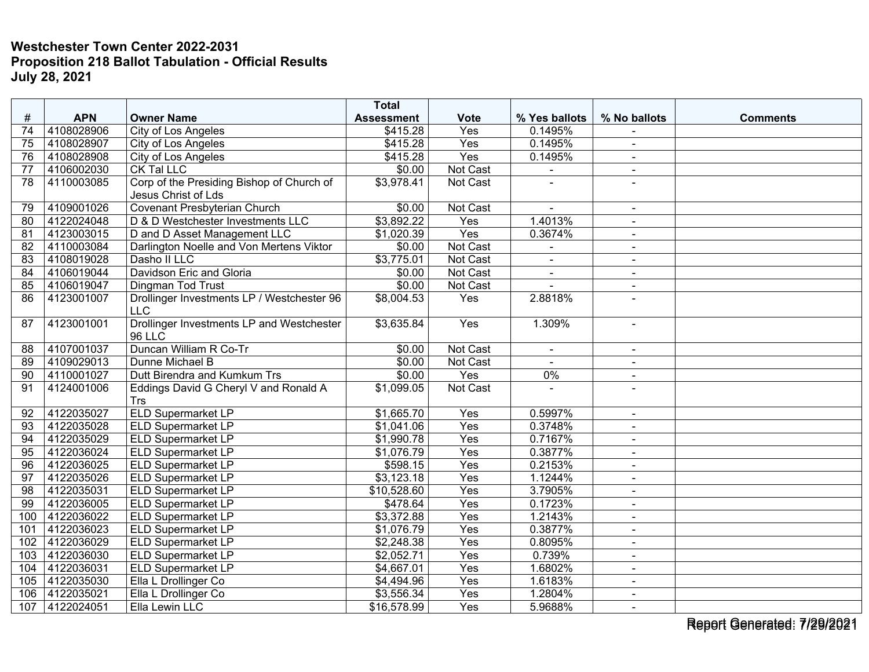|                 |            |                                            | <b>Total</b>           |                  |                |                |                 |
|-----------------|------------|--------------------------------------------|------------------------|------------------|----------------|----------------|-----------------|
| #               | <b>APN</b> | <b>Owner Name</b>                          | <b>Assessment</b>      | <b>Vote</b>      | % Yes ballots  | % No ballots   | <b>Comments</b> |
| 74              | 4108028906 | City of Los Angeles                        | \$415.28               | Yes              | 0.1495%        |                |                 |
| 75              | 4108028907 | City of Los Angeles                        | \$415.28               | Yes              | 0.1495%        | $\sim$         |                 |
| 76              | 4108028908 | City of Los Angeles                        | \$415.28               | $\overline{Yes}$ | 0.1495%        | $\blacksquare$ |                 |
| 77              | 4106002030 | CK Tal LLC                                 | \$0.00                 | Not Cast         |                | $\blacksquare$ |                 |
| 78              | 4110003085 | Corp of the Presiding Bishop of Church of  | \$3,978.41             | <b>Not Cast</b>  |                | $\sim$         |                 |
|                 |            | Jesus Christ of Lds                        |                        |                  |                |                |                 |
| 79              | 4109001026 | <b>Covenant Presbyterian Church</b>        | \$0.00                 | Not Cast         |                | $\sim$         |                 |
| 80              | 4122024048 | D & D Westchester Investments LLC          | $\overline{$3,892.22}$ | Yes              | 1.4013%        | $\sim$         |                 |
| 81              | 4123003015 | D and D Asset Management LLC               | \$1,020.39             | Yes              | 0.3674%        | $\blacksquare$ |                 |
| 82              | 4110003084 | Darlington Noelle and Von Mertens Viktor   | \$0.00                 | <b>Not Cast</b>  | ÷,             | $\blacksquare$ |                 |
| 83              | 4108019028 | Dasho II LLC                               | \$3,775.01             | Not Cast         | $\sim$         | $\sim$         |                 |
| 84              | 4106019044 | Davidson Eric and Gloria                   | \$0.00                 | Not Cast         | $\blacksquare$ | $\blacksquare$ |                 |
| 85              | 4106019047 | Dingman Tod Trust                          | \$0.00                 | Not Cast         |                | $\sim$         |                 |
| 86              | 4123001007 | Drollinger Investments LP / Westchester 96 | \$8,004.53             | Yes              | 2.8818%        |                |                 |
|                 |            | <b>LLC</b>                                 |                        |                  |                |                |                 |
| 87              | 4123001001 | Drollinger Investments LP and Westchester  | \$3,635.84             | Yes              | 1.309%         | $\sim$         |                 |
|                 |            | <b>96 LLC</b>                              |                        |                  |                |                |                 |
| 88              | 4107001037 | Duncan William R Co-Tr                     | \$0.00                 | Not Cast         | $\blacksquare$ | $\blacksquare$ |                 |
| 89              | 4109029013 | Dunne Michael B                            | \$0.00                 | Not Cast         | $\sim$         | $\blacksquare$ |                 |
| 90              | 4110001027 | Dutt Birendra and Kumkum Trs               | \$0.00                 | Yes              | $0\%$          | $\blacksquare$ |                 |
| 91              | 4124001006 | Eddings David G Cheryl V and Ronald A      | \$1,099.05             | Not Cast         |                | $\sim$         |                 |
|                 |            | <b>Trs</b>                                 |                        |                  |                |                |                 |
| 92              | 4122035027 | <b>ELD Supermarket LP</b>                  | \$1,665.70             | Yes              | 0.5997%        | $\sim$         |                 |
| 93              | 4122035028 | <b>ELD Supermarket LP</b>                  | \$1,041.06             | Yes              | 0.3748%        | $\blacksquare$ |                 |
| 94              | 4122035029 | ELD Supermarket LP                         | \$1,990.78             | Yes              | 0.7167%        |                |                 |
| $\overline{95}$ | 4122036024 | <b>ELD Supermarket LP</b>                  | \$1,076.79             | Yes              | 0.3877%        | $\blacksquare$ |                 |
| $\overline{96}$ | 4122036025 | <b>ELD Supermarket LP</b>                  | \$598.15               | Yes              | 0.2153%        | $\sim$         |                 |
| 97              | 4122035026 | <b>ELD Supermarket LP</b>                  | \$3,123.18             | Yes              | 1.1244%        |                |                 |
| 98              | 4122035031 | <b>ELD Supermarket LP</b>                  | \$10,528.60            | Yes              | 3.7905%        | $\sim$         |                 |
| 99              | 4122036005 | <b>ELD Supermarket LP</b>                  | \$478.64               | Yes              | 0.1723%        | $\blacksquare$ |                 |
| 100             | 4122036022 | <b>ELD Supermarket LP</b>                  | \$3,372.88             | Yes              | 1.2143%        | $\blacksquare$ |                 |
| 101             | 4122036023 | <b>ELD Supermarket LP</b>                  | \$1,076.79             | Yes              | 0.3877%        | $\blacksquare$ |                 |
| 102             | 4122036029 | <b>ELD Supermarket LP</b>                  | \$2,248.38             | Yes              | 0.8095%        | $\blacksquare$ |                 |
| 103             | 4122036030 | <b>ELD Supermarket LP</b>                  | \$2,052.71             | Yes              | 0.739%         | $\sim$         |                 |
| 104             | 4122036031 | <b>ELD Supermarket LP</b>                  | \$4,667.01             | Yes              | 1.6802%        | $\sim$         |                 |
| 105             | 4122035030 | Ella L Drollinger Co                       | \$4,494.96             | Yes              | 1.6183%        | $\blacksquare$ |                 |
| 106             | 4122035021 | Ella L Drollinger Co                       | \$3,556.34             | Yes              | 1.2804%        | $\blacksquare$ |                 |
| 107             | 4122024051 | Ella Lewin LLC                             | \$16,578.99            | Yes              | 5.9688%        | $\blacksquare$ |                 |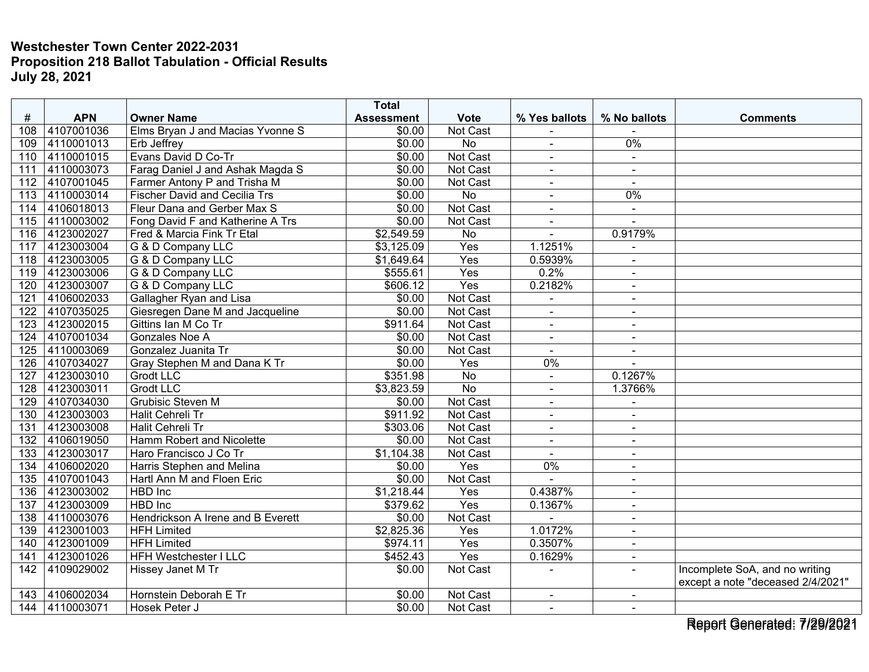|                  |                |                                      | <b>Total</b>           |                 |                |                |                                   |
|------------------|----------------|--------------------------------------|------------------------|-----------------|----------------|----------------|-----------------------------------|
| #                | <b>APN</b>     | <b>Owner Name</b>                    | <b>Assessment</b>      | <b>Vote</b>     | % Yes ballots  | % No ballots   | <b>Comments</b>                   |
| 108              | 4107001036     | Elms Bryan J and Macias Yvonne S     | \$0.00                 | Not Cast        |                |                |                                   |
| 109              | 4110001013     | Erb Jeffrey                          | \$0.00                 | <b>No</b>       | $\blacksquare$ | $0\%$          |                                   |
| 110              | 4110001015     | Evans David D Co-Tr                  | \$0.00                 | Not Cast        | $\blacksquare$ | $\blacksquare$ |                                   |
| 111              | 4110003073     | Farag Daniel J and Ashak Magda S     | \$0.00                 | Not Cast        | $\blacksquare$ | $\sim$         |                                   |
| 112              | 4107001045     | Farmer Antony P and Trisha M         | \$0.00                 | Not Cast        | $\sim$         | $\sim$         |                                   |
| 113              | 4110003014     | <b>Fischer David and Cecilia Trs</b> | \$0.00                 | $\overline{No}$ | $\blacksquare$ | $0\%$          |                                   |
| 114              | 4106018013     | Fleur Dana and Gerber Max S          | \$0.00                 | Not Cast        |                | $\mathbf{u}$   |                                   |
| 115              | 4110003002     | Fong David F and Katherine A Trs     | \$0.00                 | <b>Not Cast</b> | $\blacksquare$ | $\sim$         |                                   |
| 116              | 4123002027     | Fred & Marcia Fink Tr Etal           | \$2,549.59             | No              | $\blacksquare$ | 0.9179%        |                                   |
| 117              | 4123003004     | G & D Company LLC                    | \$3,125.09             | Yes             | 1.1251%        |                |                                   |
| $\overline{118}$ | 4123003005     | G & D Company LLC                    | \$1,649.64             | Yes             | 0.5939%        | $\sim$         |                                   |
|                  | 119 4123003006 | G & D Company LLC                    | \$555.61               | Yes             | 0.2%           | $\sim$         |                                   |
| 120              | 4123003007     | G & D Company LLC                    | \$606.12               | Yes             | 0.2182%        | $\sim$         |                                   |
| 121              | 4106002033     | Gallagher Ryan and Lisa              | \$0.00                 | Not Cast        |                |                |                                   |
| 122              | 4107035025     | Giesregen Dane M and Jacqueline      | \$0.00                 | Not Cast        | $\blacksquare$ | $\sim$         |                                   |
| 123              | 4123002015     | Gittins Ian M Co Tr                  | \$911.64               | Not Cast        | $\sim$         | $\blacksquare$ |                                   |
| 124              | 4107001034     | Gonzales Noe A                       | \$0.00                 | <b>Not Cast</b> | $\blacksquare$ | $\blacksquare$ |                                   |
| 125              | 4110003069     | Gonzalez Juanita Tr                  | \$0.00                 | Not Cast        | $\sim$         | $\blacksquare$ |                                   |
| 126              | 4107034027     | Gray Stephen M and Dana K Tr         | \$0.00                 | Yes             | 0%             | $\sim$         |                                   |
| 127              | 4123003010     | <b>Grodt LLC</b>                     | \$351.98               | $\overline{No}$ | $\blacksquare$ | 0.1267%        |                                   |
| 128              | 4123003011     | <b>Grodt LLC</b>                     | \$3,823.59             | $\overline{No}$ |                | 1.3766%        |                                   |
| 129              | 4107034030     | <b>Grubisic Steven M</b>             | \$0.00                 | Not Cast        | $\sim$         |                |                                   |
| 130              | 4123003003     | Halit Cehreli Tr                     | \$911.92               | Not Cast        | $\blacksquare$ | $\sim$         |                                   |
| 131              | 4123003008     | <b>Halit Cehreli Tr</b>              | \$303.06               | Not Cast        | $\blacksquare$ |                |                                   |
| 132              | 4106019050     | Hamm Robert and Nicolette            | \$0.00                 | Not Cast        | $\blacksquare$ | $\blacksquare$ |                                   |
| 133              | 4123003017     | Haro Francisco J Co Tr               | \$1,104.38             | Not Cast        | $\sim$         | $\sim$         |                                   |
| 134              | 4106002020     | Harris Stephen and Melina            | \$0.00                 | Yes             | $0\%$          | $\sim$         |                                   |
| 135              | 4107001043     | Hartl Ann M and Floen Eric           | \$0.00                 | Not Cast        |                |                |                                   |
| 136              | 4123003002     | HBD Inc                              | \$1,218.44             | Yes             | 0.4387%        | $\blacksquare$ |                                   |
| 137              | 4123003009     | <b>HBD</b> Inc                       | \$379.62               | Yes             | 0.1367%        | $\blacksquare$ |                                   |
| 138              | 4110003076     | Hendrickson A Irene and B Everett    | \$0.00                 | Not Cast        |                | $\blacksquare$ |                                   |
| 139              | 4123001003     | <b>HFH Limited</b>                   | $\overline{$2,825.36}$ | Yes             | 1.0172%        | $\blacksquare$ |                                   |
| 140              | 4123001009     | <b>HFH Limited</b>                   | \$974.11               | Yes             | 0.3507%        | $\blacksquare$ |                                   |
| 141              | 4123001026     | <b>HFH Westchester I LLC</b>         | \$452.43               | Yes             | 0.1629%        | $\sim$         |                                   |
| 142              | 4109029002     | Hissey Janet M Tr                    | \$0.00                 | Not Cast        |                | $\blacksquare$ | Incomplete SoA, and no writing    |
|                  |                |                                      |                        |                 |                |                | except a note "deceased 2/4/2021" |
| 143              | 4106002034     | Hornstein Deborah E Tr               | \$0.00                 | Not Cast        | $\blacksquare$ | $\sim$         |                                   |
| 144              | 4110003071     | Hosek Peter J                        | \$0.00                 | Not Cast        | $\sim$         |                |                                   |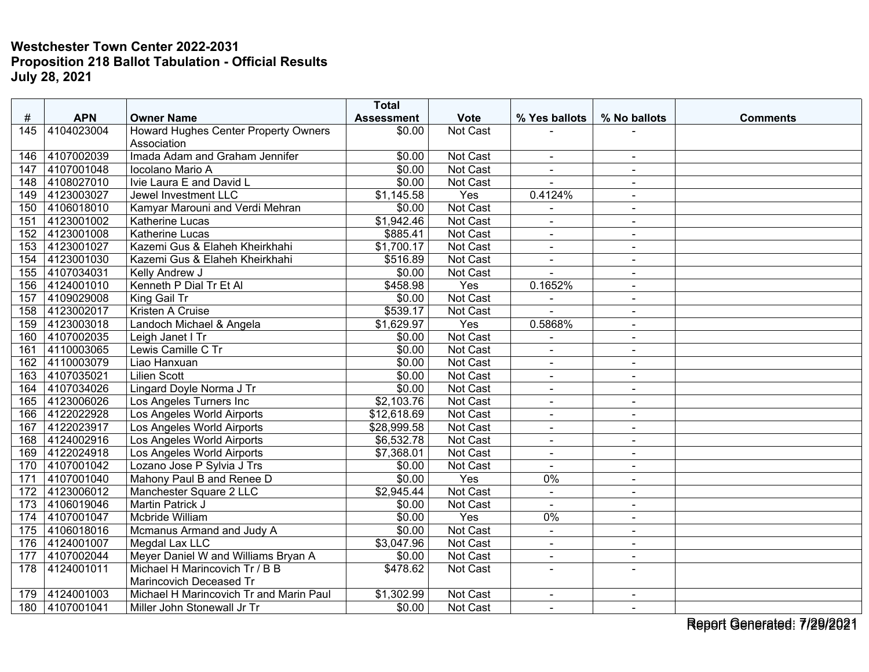|                 |            |                                         | <b>Total</b>      |                 |                          |                |                 |
|-----------------|------------|-----------------------------------------|-------------------|-----------------|--------------------------|----------------|-----------------|
| #               | <b>APN</b> | <b>Owner Name</b>                       | <b>Assessment</b> | <b>Vote</b>     | % Yes ballots            | % No ballots   | <b>Comments</b> |
| 145             | 4104023004 | Howard Hughes Center Property Owners    | \$0.00            | Not Cast        |                          |                |                 |
|                 |            | Association                             |                   |                 |                          |                |                 |
| 146             | 4107002039 | Imada Adam and Graham Jennifer          | \$0.00            | Not Cast        | $\blacksquare$           | $\blacksquare$ |                 |
| 147             | 4107001048 | Iocolano Mario A                        | \$0.00            | <b>Not Cast</b> | $\blacksquare$           | $\sim$         |                 |
| 148             | 4108027010 | Ivie Laura E and David L                | \$0.00            | <b>Not Cast</b> |                          | $\sim$         |                 |
| 149             | 4123003027 | Jewel Investment LLC                    | \$1,145.58        | Yes             | 0.4124%                  | $\sim$         |                 |
| 150             | 4106018010 | Kamyar Marouni and Verdi Mehran         | \$0.00            | Not Cast        |                          |                |                 |
| 151             | 4123001002 | Katherine Lucas                         | \$1,942.46        | Not Cast        | $\blacksquare$           | $\sim$         |                 |
| 152             | 4123001008 | Katherine Lucas                         | \$885.41          | Not Cast        | $\blacksquare$           | $\sim$         |                 |
| 153             | 4123001027 | Kazemi Gus & Elaheh Kheirkhahi          | \$1,700.17        | Not Cast        | $\blacksquare$           | $\blacksquare$ |                 |
| 154             | 4123001030 | Kazemi Gus & Elaheh Kheirkhahi          | \$516.89          | Not Cast        | $\blacksquare$           | $\sim$         |                 |
| 155             | 4107034031 | Kelly Andrew J                          | \$0.00            | Not Cast        | $\blacksquare$           | $\blacksquare$ |                 |
| 156             | 4124001010 | Kenneth P Dial Tr Et Al                 | \$458.98          | Yes             | 0.1652%                  | $\sim$         |                 |
| 157             | 4109029008 | King Gail Tr                            | \$0.00            | Not Cast        |                          |                |                 |
| 158             | 4123002017 | <b>Kristen A Cruise</b>                 | \$539.17          | Not Cast        | $\overline{a}$           | $\sim$         |                 |
| 159             | 4123003018 | Landoch Michael & Angela                | \$1,629.97        | Yes             | 0.5868%                  | $\sim$         |                 |
| 160             | 4107002035 | Leigh Janet I Tr                        | \$0.00            | Not Cast        | $\blacksquare$           | $\sim$         |                 |
| 161             | 4110003065 | Lewis Camille C Tr                      | \$0.00            | Not Cast        |                          | $\blacksquare$ |                 |
| 162             | 4110003079 | Liao Hanxuan                            | \$0.00            | Not Cast        | $\blacksquare$           | $\overline{a}$ |                 |
| 163             | 4107035021 | <b>Lilien Scott</b>                     | \$0.00            | Not Cast        | ä,                       | $\blacksquare$ |                 |
| 164             | 4107034026 | Lingard Doyle Norma J Tr                | \$0.00            | Not Cast        | $\blacksquare$           | $\sim$         |                 |
| 165             | 4123006026 | Los Angeles Turners Inc                 | \$2,103.76        | <b>Not Cast</b> | $\overline{a}$           | $\sim$         |                 |
| 166             | 4122022928 | Los Angeles World Airports              | \$12,618.69       | Not Cast        | $\blacksquare$           | $\blacksquare$ |                 |
| 167             | 4122023917 | Los Angeles World Airports              | \$28,999.58       | Not Cast        | $\blacksquare$           | $\sim$         |                 |
| 168             | 4124002916 | Los Angeles World Airports              | \$6,532.78        | Not Cast        | $\overline{\phantom{a}}$ |                |                 |
| 169             | 4122024918 | Los Angeles World Airports              | \$7,368.01        | Not Cast        | $\blacksquare$           | $\sim$         |                 |
| 170             | 4107001042 | Lozano Jose P Sylvia J Trs              | \$0.00            | Not Cast        | $\sim$                   | $\blacksquare$ |                 |
| 171             | 4107001040 | Mahony Paul B and Renee D               | \$0.00            | Yes             | $0\%$                    | $\sim$         |                 |
| 172             | 4123006012 | Manchester Square 2 LLC                 | \$2,945.44        | Not Cast        | $\mathbf{u}$             | $\sim$         |                 |
| 173             | 4106019046 | <b>Martin Patrick J</b>                 | \$0.00            | Not Cast        | $\sim$                   | $\sim$         |                 |
| 174             | 4107001047 | Mcbride William                         | \$0.00            | Yes             | 0%                       | $\blacksquare$ |                 |
| $\frac{175}{2}$ | 4106018016 | Mcmanus Armand and Judy A               | \$0.00            | Not Cast        | $\sim$                   | $\sim$         |                 |
| 176             | 4124001007 | Megdal Lax LLC                          | \$3,047.96        | Not Cast        | $\blacksquare$           | $\blacksquare$ |                 |
| 177             | 4107002044 | Meyer Daniel W and Williams Bryan A     | \$0.00            | Not Cast        | $\blacksquare$           | $\sim$         |                 |
| 178             | 4124001011 | Michael H Marincovich Tr / B B          | \$478.62          | Not Cast        |                          |                |                 |
|                 |            | Marincovich Deceased Tr                 |                   |                 |                          |                |                 |
| 179             | 4124001003 | Michael H Marincovich Tr and Marin Paul | \$1,302.99        | Not Cast        | $\sim$                   | $\sim$         |                 |
| 180             | 4107001041 | Miller John Stonewall Jr Tr             | \$0.00            | Not Cast        | $\blacksquare$           | $\blacksquare$ |                 |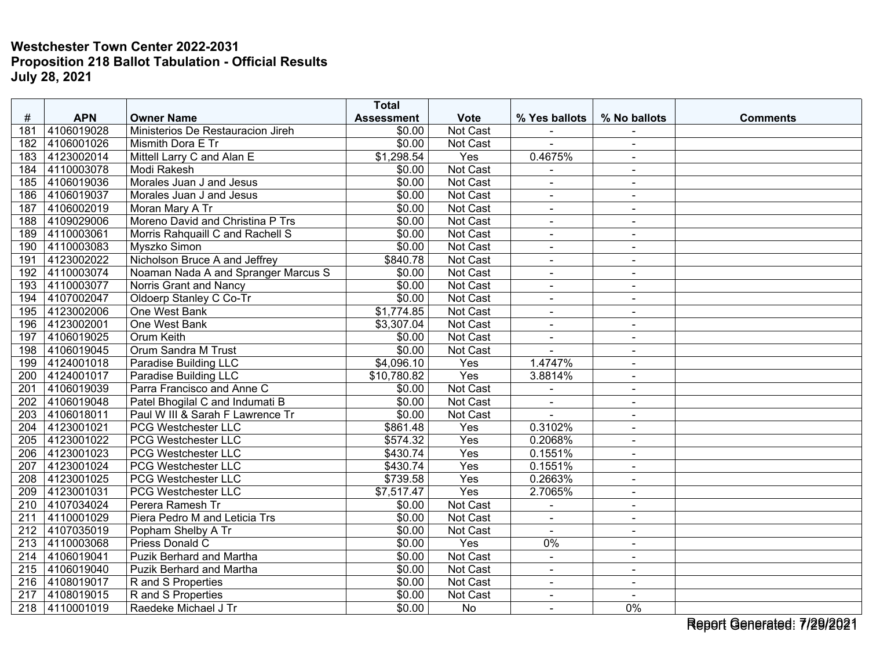| #                | <b>APN</b>     | <b>Owner Name</b>                   | <b>Total</b><br><b>Assessment</b> | <b>Vote</b>      | % Yes ballots            | % No ballots   | <b>Comments</b> |
|------------------|----------------|-------------------------------------|-----------------------------------|------------------|--------------------------|----------------|-----------------|
| 181              | 4106019028     | Ministerios De Restauracion Jireh   | \$0.00                            | Not Cast         |                          |                |                 |
| 182              | 4106001026     | Mismith Dora E Tr                   | \$0.00                            | Not Cast         | $\overline{a}$           | $\blacksquare$ |                 |
| 183              | 4123002014     | Mittell Larry C and Alan E          | \$1,298.54                        | $\overline{Yes}$ | 0.4675%                  | $\blacksquare$ |                 |
| 184              | 4110003078     | Modi Rakesh                         | \$0.00                            | Not Cast         |                          | $\sim$         |                 |
| 185              | 4106019036     | Morales Juan J and Jesus            | \$0.00                            | <b>Not Cast</b>  | $\sim$                   | $\blacksquare$ |                 |
| 186              | 4106019037     | Morales Juan J and Jesus            | \$0.00                            | Not Cast         | $\blacksquare$           | $\sim$         |                 |
| 187              | 4106002019     | Moran Mary A Tr                     | \$0.00                            | Not Cast         | $\blacksquare$           | $\sim$         |                 |
| 188              | 4109029006     | Moreno David and Christina P Trs    | \$0.00                            | <b>Not Cast</b>  | $\mathbf{r}$             | $\sim$         |                 |
| 189              | 4110003061     | Morris Rahquaill C and Rachell S    | \$0.00                            | Not Cast         | $\sim$                   | $\sim$         |                 |
| 190              | 4110003083     | Myszko Simon                        | \$0.00                            | Not Cast         | $\blacksquare$           | $\blacksquare$ |                 |
| 191              | 4123002022     | Nicholson Bruce A and Jeffrey       | \$840.78                          | Not Cast         | $\overline{\phantom{a}}$ | $\blacksquare$ |                 |
| 192              | 4110003074     | Noaman Nada A and Spranger Marcus S | \$0.00                            | Not Cast         | $\blacksquare$           | $\sim$         |                 |
| 193              | 4110003077     | Norris Grant and Nancy              | \$0.00                            | Not Cast         | $\sim$                   | $\blacksquare$ |                 |
| 194              | 4107002047     | Oldoerp Stanley C Co-Tr             | \$0.00                            | Not Cast         | $\blacksquare$           | $\sim$         |                 |
| 195              | 4123002006     | One West Bank                       | \$1,774.85                        | Not Cast         | $\sim$                   | $\blacksquare$ |                 |
| 196              | 4123002001     | One West Bank                       | \$3,307.04                        | Not Cast         | $\mathbf{r}$             | $\blacksquare$ |                 |
| 197              | 4106019025     | <b>Orum Keith</b>                   | \$0.00                            | <b>Not Cast</b>  | $\blacksquare$           | $\blacksquare$ |                 |
| 198              | 4106019045     | <b>Orum Sandra M Trust</b>          | \$0.00                            | Not Cast         |                          | $\blacksquare$ |                 |
| 199              | 4124001018     | Paradise Building LLC               | \$4,096.10                        | Yes              | 1.4747%                  | $\blacksquare$ |                 |
| 200              | 4124001017     | Paradise Building LLC               | \$10,780.82                       | Yes              | 3.8814%                  | $\sim$         |                 |
| 201              | 4106019039     | Parra Francisco and Anne C          | \$0.00                            | Not Cast         |                          |                |                 |
| 202              | 4106019048     | Patel Bhogilal C and Indumati B     | \$0.00                            | Not Cast         | $\blacksquare$           | $\blacksquare$ |                 |
| 203              | 4106018011     | Paul W III & Sarah F Lawrence Tr    | \$0.00                            | Not Cast         | $\blacksquare$           | $\blacksquare$ |                 |
| 204              | 4123001021     | <b>PCG Westchester LLC</b>          | $\overline{$861.48}$              | Yes              | 0.3102%                  | $\sim$         |                 |
| 205              | 4123001022     | <b>PCG Westchester LLC</b>          | \$574.32                          | Yes              | 0.2068%                  | $\blacksquare$ |                 |
| 206              | 4123001023     | PCG Westchester LLC                 | \$430.74                          | Yes              | 0.1551%                  | $\sim$         |                 |
| 207              | 4123001024     | <b>PCG Westchester LLC</b>          | \$430.74                          | Yes              | 0.1551%                  | $\sim$         |                 |
| 208              | 4123001025     | <b>PCG Westchester LLC</b>          | \$739.58                          | Yes              | 0.2663%                  |                |                 |
| 209              | 4123001031     | PCG Westchester LLC                 | \$7,517.47                        | Yes              | 2.7065%                  | $\blacksquare$ |                 |
| $\overline{210}$ | 4107034024     | Perera Ramesh Tr                    | \$0.00                            | Not Cast         | ÷,                       | $\sim$         |                 |
| 211              | 4110001029     | Piera Pedro M and Leticia Trs       | \$0.00                            | Not Cast         | $\blacksquare$           | $\blacksquare$ |                 |
| 212              | 4107035019     | Popham Shelby A Tr                  | \$0.00                            | Not Cast         |                          | $\blacksquare$ |                 |
| $\overline{213}$ | 4110003068     | Priess Donald C                     | \$0.00                            | Yes              | 0%                       | $\sim$         |                 |
| 214              | 4106019041     | <b>Puzik Berhard and Martha</b>     | \$0.00                            | Not Cast         | $\blacksquare$           | $\sim$         |                 |
| 215              | 4106019040     | <b>Puzik Berhard and Martha</b>     | \$0.00                            | Not Cast         |                          |                |                 |
| $\overline{216}$ | 4108019017     | R and S Properties                  | \$0.00                            | Not Cast         | $\sim$                   | $\blacksquare$ |                 |
| 217              | 4108019015     | R and S Properties                  | \$0.00                            | Not Cast         | $\blacksquare$           | $\blacksquare$ |                 |
|                  | 218 4110001019 | Raedeke Michael J Tr                | \$0.00                            | No               | $\blacksquare$           | 0%             |                 |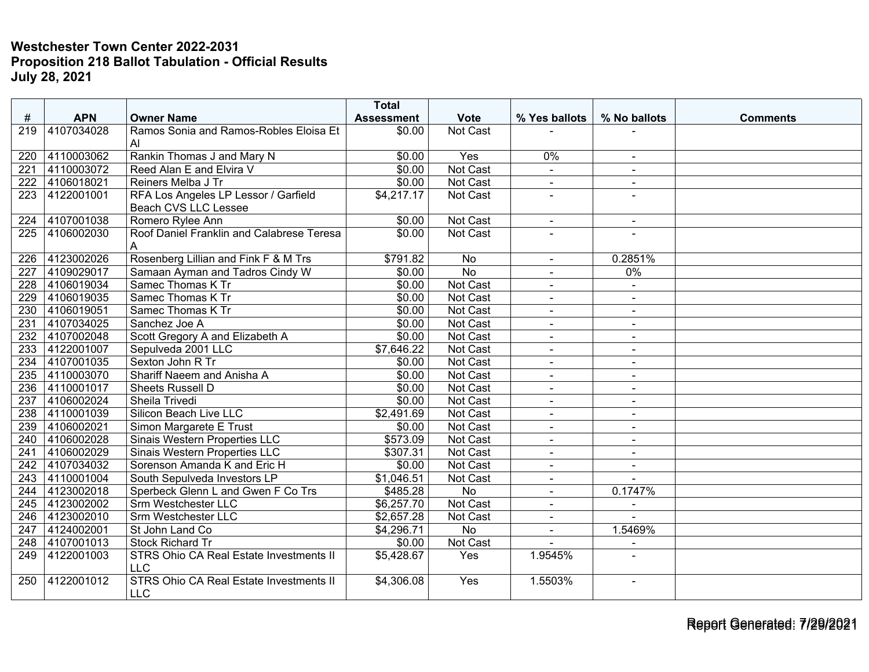|     |            |                                                              | <b>Total</b>      |                 |                |                |                 |
|-----|------------|--------------------------------------------------------------|-------------------|-----------------|----------------|----------------|-----------------|
| #   | <b>APN</b> | <b>Owner Name</b>                                            | <b>Assessment</b> | <b>Vote</b>     | % Yes ballots  | % No ballots   | <b>Comments</b> |
| 219 | 4107034028 | Ramos Sonia and Ramos-Robles Eloisa Et<br>AI.                | \$0.00            | Not Cast        |                |                |                 |
| 220 | 4110003062 | Rankin Thomas J and Mary N                                   | \$0.00            | Yes             | 0%             | $\blacksquare$ |                 |
| 221 | 4110003072 | Reed Alan E and Elvira V                                     | \$0.00            | <b>Not Cast</b> | $\mathbf{r}$   | $\sim$         |                 |
| 222 | 4106018021 | Reiners Melba J Tr                                           | \$0.00            | Not Cast        | $\blacksquare$ | $\blacksquare$ |                 |
| 223 | 4122001001 | RFA Los Angeles LP Lessor / Garfield<br>Beach CVS LLC Lessee | \$4,217.17        | Not Cast        | $\sim$         | $\overline{a}$ |                 |
| 224 | 4107001038 | Romero Rylee Ann                                             | \$0.00            | Not Cast        | $\blacksquare$ | $\blacksquare$ |                 |
| 225 | 4106002030 | Roof Daniel Franklin and Calabrese Teresa<br>A               | \$0.00            | Not Cast        |                |                |                 |
| 226 | 4123002026 | Rosenberg Lillian and Fink F & M Trs                         | \$791.82          | No              | $\sim$         | 0.2851%        |                 |
| 227 | 4109029017 | Samaan Ayman and Tadros Cindy W                              | \$0.00            | $\overline{No}$ |                | 0%             |                 |
| 228 | 4106019034 | Samec Thomas K Tr                                            | \$0.00            | Not Cast        | $\overline{a}$ | $\sim$         |                 |
| 229 | 4106019035 | Samec Thomas K Tr                                            | \$0.00            | <b>Not Cast</b> | $\blacksquare$ | $\sim$         |                 |
| 230 | 4106019051 | Samec Thomas K Tr                                            | \$0.00            | Not Cast        | $\blacksquare$ | $\sim$         |                 |
| 231 | 4107034025 | Sanchez Joe A                                                | \$0.00            | Not Cast        | $\blacksquare$ | $\sim$         |                 |
| 232 | 4107002048 | Scott Gregory A and Elizabeth A                              | \$0.00            | Not Cast        | $\blacksquare$ | $\blacksquare$ |                 |
| 233 | 4122001007 | Sepulveda 2001 LLC                                           | \$7,646.22        | Not Cast        | $\blacksquare$ | $\blacksquare$ |                 |
| 234 | 4107001035 | Sexton John R Tr                                             | \$0.00            | Not Cast        | $\blacksquare$ | $\sim$         |                 |
| 235 | 4110003070 | Shariff Naeem and Anisha A                                   | \$0.00            | Not Cast        | $\blacksquare$ | $\sim$         |                 |
| 236 | 4110001017 | Sheets Russell D                                             | \$0.00            | Not Cast        | $\blacksquare$ | $\sim$         |                 |
| 237 | 4106002024 | Sheila Trivedi                                               | \$0.00            | Not Cast        | $\blacksquare$ | $\sim$         |                 |
| 238 | 4110001039 | Silicon Beach Live LLC                                       | \$2,491.69        | Not Cast        | $\blacksquare$ | $\blacksquare$ |                 |
| 239 | 4106002021 | Simon Margarete E Trust                                      | \$0.00            | Not Cast        |                | $\sim$         |                 |
| 240 | 4106002028 | Sinais Western Properties LLC                                | \$573.09          | Not Cast        | $\blacksquare$ | $\sim$         |                 |
| 241 | 4106002029 | Sinais Western Properties LLC                                | \$307.31          | Not Cast        | $\blacksquare$ | $\blacksquare$ |                 |
| 242 | 4107034032 | Sorenson Amanda K and Eric H                                 | \$0.00            | Not Cast        | $\blacksquare$ | $\sim$         |                 |
| 243 | 4110001004 | South Sepulveda Investors LP                                 | \$1,046.51        | Not Cast        | $\blacksquare$ | $\overline{a}$ |                 |
| 244 | 4123002018 | Sperbeck Glenn L and Gwen F Co Trs                           | \$485.28          | No              | $\blacksquare$ | 0.1747%        |                 |
| 245 | 4123002002 | Srm Westchester LLC                                          | \$6,257.70        | Not Cast        | $\blacksquare$ |                |                 |
| 246 | 4123002010 | Srm Westchester LLC                                          | \$2,657.28        | Not Cast        | $\blacksquare$ |                |                 |
| 247 | 4124002001 | St John Land Co                                              | \$4,296.71        | No              | $\blacksquare$ | 1.5469%        |                 |
| 248 | 4107001013 | Stock Richard Tr                                             | \$0.00            | Not Cast        |                | $\overline{a}$ |                 |
| 249 | 4122001003 | STRS Ohio CA Real Estate Investments II<br><b>LLC</b>        | \$5,428.67        | Yes             | 1.9545%        |                |                 |
| 250 | 4122001012 | STRS Ohio CA Real Estate Investments II<br><b>LLC</b>        | \$4,306.08        | Yes             | 1.5503%        | $\sim$         |                 |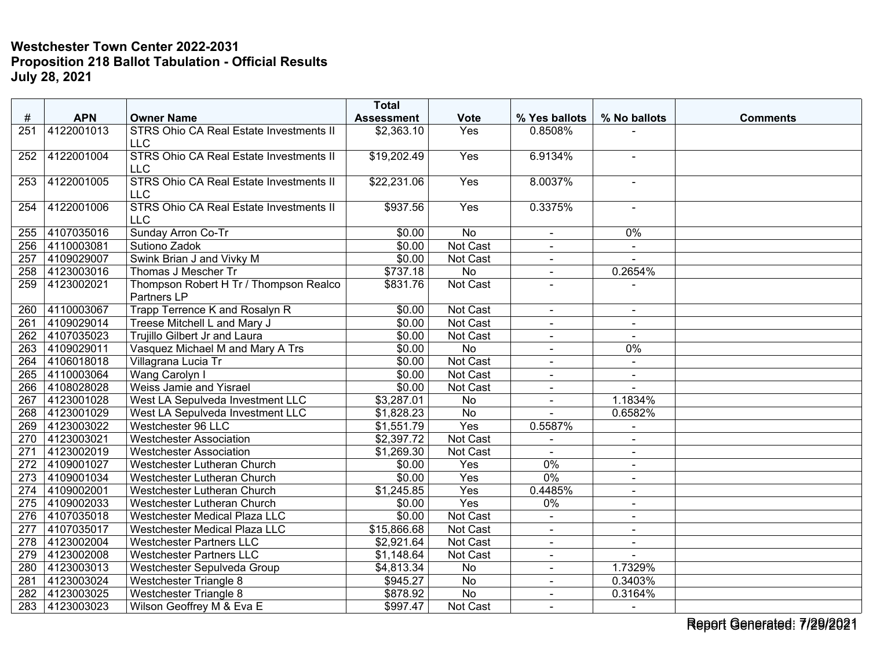|                  |            |                                                              | <b>Total</b>      |                  |                |                          |                 |
|------------------|------------|--------------------------------------------------------------|-------------------|------------------|----------------|--------------------------|-----------------|
| #                | <b>APN</b> | <b>Owner Name</b>                                            | <b>Assessment</b> | <b>Vote</b>      | % Yes ballots  | % No ballots             | <b>Comments</b> |
| 251              | 4122001013 | STRS Ohio CA Real Estate Investments II<br><b>LLC</b>        | \$2,363.10        | Yes              | 0.8508%        |                          |                 |
| 252              | 4122001004 | STRS Ohio CA Real Estate Investments II<br><b>LLC</b>        | \$19,202.49       | Yes              | 6.9134%        | $\blacksquare$           |                 |
| 253              | 4122001005 | <b>STRS Ohio CA Real Estate Investments II</b><br><b>LLC</b> | \$22,231.06       | Yes              | 8.0037%        | $\blacksquare$           |                 |
| 254              | 4122001006 | STRS Ohio CA Real Estate Investments II<br><b>LLC</b>        | \$937.56          | Yes              | 0.3375%        | $\blacksquare$           |                 |
| 255              | 4107035016 | Sunday Arron Co-Tr                                           | \$0.00            | No               | $\blacksquare$ | 0%                       |                 |
| 256              | 4110003081 | Sutiono Zadok                                                | \$0.00            | <b>Not Cast</b>  |                | $\blacksquare$           |                 |
| 257              | 4109029007 | Swink Brian J and Vivky M                                    | \$0.00            | Not Cast         | $\blacksquare$ | $\overline{a}$           |                 |
| 258              | 4123003016 | Thomas J Mescher Tr                                          | \$737.18          | No               | $\blacksquare$ | 0.2654%                  |                 |
| 259              | 4123002021 | Thompson Robert H Tr / Thompson Realco<br>Partners LP        | \$831.76          | <b>Not Cast</b>  |                |                          |                 |
| 260              | 4110003067 | Trapp Terrence K and Rosalyn R                               | \$0.00            | <b>Not Cast</b>  | $\sim$         | $\blacksquare$           |                 |
| $\overline{261}$ | 4109029014 | Treese Mitchell L and Mary J                                 | \$0.00            | Not Cast         | $\blacksquare$ | $\blacksquare$           |                 |
| 262              | 4107035023 | Trujillo Gilbert Jr and Laura                                | \$0.00            | Not Cast         | $\blacksquare$ |                          |                 |
| 263              | 4109029011 | Vasquez Michael M and Mary A Trs                             | \$0.00            | <b>No</b>        | $\blacksquare$ | $0\%$                    |                 |
| 264              | 4106018018 | Villagrana Lucia Tr                                          | \$0.00            | Not Cast         | $\blacksquare$ | $\blacksquare$           |                 |
| 265              | 4110003064 | Wang Carolyn I                                               | \$0.00            | <b>Not Cast</b>  | $\overline{a}$ | $\blacksquare$           |                 |
| 266              | 4108028028 | Weiss Jamie and Yisrael                                      | \$0.00            | <b>Not Cast</b>  |                |                          |                 |
| 267              | 4123001028 | West LA Sepulveda Investment LLC                             | \$3,287.01        | No               | $\blacksquare$ | 1.1834%                  |                 |
| 268              | 4123001029 | West LA Sepulveda Investment LLC                             | \$1,828.23        | No               | $\overline{a}$ | 0.6582%                  |                 |
| 269              | 4123003022 | Westchester 96 LLC                                           | \$1,551.79        | Yes              | 0.5587%        | $\blacksquare$           |                 |
| 270              | 4123003021 | <b>Westchester Association</b>                               | \$2,397.72        | Not Cast         |                | $\overline{\phantom{a}}$ |                 |
| 271              | 4123002019 | <b>Westchester Association</b>                               | \$1,269.30        | Not Cast         | $\sim$         | $\sim$                   |                 |
| 272              | 4109001027 | Westchester Lutheran Church                                  | \$0.00            | Yes              | 0%             | $\blacksquare$           |                 |
| $\overline{273}$ | 4109001034 | Westchester Lutheran Church                                  | \$0.00            | $\overline{Yes}$ | 0%             | $\blacksquare$           |                 |
| 274              | 4109002001 | Westchester Lutheran Church                                  | \$1,245.85        | Yes              | 0.4485%        | $\blacksquare$           |                 |
| 275              | 4109002033 | Westchester Lutheran Church                                  | \$0.00            | Yes              | 0%             | $\blacksquare$           |                 |
| 276              | 4107035018 | Westchester Medical Plaza LLC                                | \$0.00            | Not Cast         | $\blacksquare$ | $\blacksquare$           |                 |
| 277              | 4107035017 | Westchester Medical Plaza LLC                                | \$15,866.68       | Not Cast         | $\blacksquare$ | $\blacksquare$           |                 |
| 278              | 4123002004 | <b>Westchester Partners LLC</b>                              | \$2,921.64        | <b>Not Cast</b>  | $\blacksquare$ | $\blacksquare$           |                 |
| 279              | 4123002008 | <b>Westchester Partners LLC</b>                              | \$1,148.64        | Not Cast         | $\blacksquare$ | $\blacksquare$           |                 |
| 280              | 4123003013 | Westchester Sepulveda Group                                  | \$4,813.34        | No               | $\overline{a}$ | 1.7329%                  |                 |
| 281              | 4123003024 | Westchester Triangle 8                                       | \$945.27          | No               |                | 0.3403%                  |                 |
| 282              | 4123003025 | <b>Westchester Triangle 8</b>                                | \$878.92          | $\overline{No}$  | $\blacksquare$ | 0.3164%                  |                 |
| 283              | 4123003023 | Wilson Geoffrey M & Eva E                                    | \$997.47          | Not Cast         | $\sim$         |                          |                 |